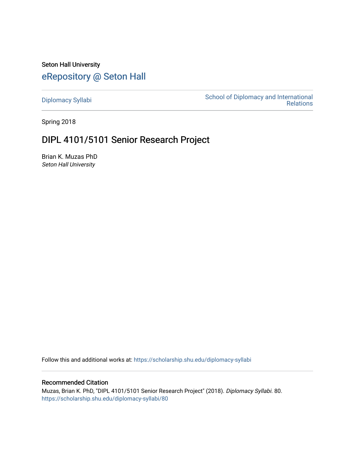Seton Hall University [eRepository @ Seton Hall](https://scholarship.shu.edu/)

[Diplomacy Syllabi](https://scholarship.shu.edu/diplomacy-syllabi) [School of Diplomacy and International](https://scholarship.shu.edu/diplomacy)  [Relations](https://scholarship.shu.edu/diplomacy) 

Spring 2018

# DIPL 4101/5101 Senior Research Project

Brian K. Muzas PhD Seton Hall University

Follow this and additional works at: [https://scholarship.shu.edu/diplomacy-syllabi](https://scholarship.shu.edu/diplomacy-syllabi?utm_source=scholarship.shu.edu%2Fdiplomacy-syllabi%2F80&utm_medium=PDF&utm_campaign=PDFCoverPages) 

### Recommended Citation

Muzas, Brian K. PhD, "DIPL 4101/5101 Senior Research Project" (2018). Diplomacy Syllabi. 80. [https://scholarship.shu.edu/diplomacy-syllabi/80](https://scholarship.shu.edu/diplomacy-syllabi/80?utm_source=scholarship.shu.edu%2Fdiplomacy-syllabi%2F80&utm_medium=PDF&utm_campaign=PDFCoverPages)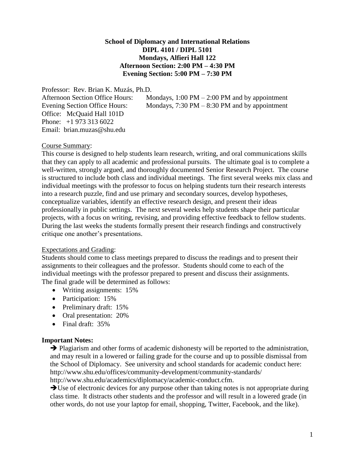# **School of Diplomacy and International Relations DIPL 4101 / DIPL 5101 Mondays, Alfieri Hall 122 Afternoon Section: 2:00 PM – 4:30 PM Evening Section: 5:00 PM – 7:30 PM**

Professor: Rev. Brian K. Muzás, Ph.D. Office: McQuaid Hall 101D Phone: +1 973 313 6022 Email: brian.muzas@shu.edu

Afternoon Section Office Hours: Mondays, 1:00 PM – 2:00 PM and by appointment Evening Section Office Hours: Mondays, 7:30 PM – 8:30 PM and by appointment

## Course Summary:

This course is designed to help students learn research, writing, and oral communications skills that they can apply to all academic and professional pursuits. The ultimate goal is to complete a well-written, strongly argued, and thoroughly documented Senior Research Project. The course is structured to include both class and individual meetings. The first several weeks mix class and individual meetings with the professor to focus on helping students turn their research interests into a research puzzle, find and use primary and secondary sources, develop hypotheses, conceptualize variables, identify an effective research design, and present their ideas professionally in public settings. The next several weeks help students shape their particular projects, with a focus on writing, revising, and providing effective feedback to fellow students. During the last weeks the students formally present their research findings and constructively critique one another's presentations.

#### Expectations and Grading:

Students should come to class meetings prepared to discuss the readings and to present their assignments to their colleagues and the professor. Students should come to each of the individual meetings with the professor prepared to present and discuss their assignments. The final grade will be determined as follows:

- Writing assignments: 15%
- Participation: 15%
- Preliminary draft: 15%
- Oral presentation: 20%
- Final draft: 35%

## **Important Notes:**

→ Plagiarism and other forms of academic dishonesty will be reported to the administration, and may result in a lowered or failing grade for the course and up to possible dismissal from the School of Diplomacy. See university and school standards for academic conduct here: http://www.shu.edu/offices/community-development/community-standards/ http://www.shu.edu/academics/diplomacy/academic-conduct.cfm.

➔Use of electronic devices for any purpose other than taking notes is not appropriate during class time. It distracts other students and the professor and will result in a lowered grade (in other words, do not use your laptop for email, shopping, Twitter, Facebook, and the like).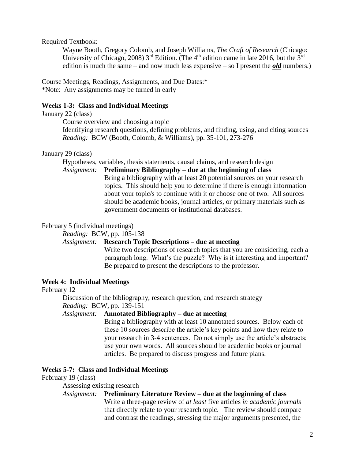#### Required Textbook:

Wayne Booth, Gregory Colomb, and Joseph Williams, *The Craft of Research* (Chicago: University of Chicago, 2008)  $3<sup>rd</sup>$  Edition. (The 4<sup>th</sup> edition came in late 2016, but the 3<sup>rd</sup> edition is much the same – and now much less expensive – so I present the *old* numbers.)

#### Course Meetings, Readings, Assignments, and Due Dates:\*

\*Note: Any assignments may be turned in early

#### **Weeks 1-3: Class and Individual Meetings**

### January 22 (class)

Course overview and choosing a topic

Identifying research questions, defining problems, and finding, using, and citing sources *Reading:* BCW (Booth, Colomb, & Williams), pp. 35-101, 273-276

# January 29 (class)

Hypotheses, variables, thesis statements, causal claims, and research design

### *Assignment:* **Preliminary Bibliography – due at the beginning of class**

Bring a bibliography with at least 20 potential sources on your research topics. This should help you to determine if there is enough information about your topic/s to continue with it or choose one of two. All sources should be academic books, journal articles, or primary materials such as government documents or institutional databases.

#### February 5 (individual meetings)

# *Reading:* BCW, pp. 105-138

### *Assignment:* **Research Topic Descriptions – due at meeting**

Write two descriptions of research topics that you are considering, each a paragraph long. What's the puzzle? Why is it interesting and important? Be prepared to present the descriptions to the professor.

#### **Week 4: Individual Meetings**

#### February 12

Discussion of the bibliography, research question, and research strategy *Reading:* BCW, pp. 139-151

# *Assignment:* **Annotated Bibliography – due at meeting**

Bring a bibliography with at least 10 annotated sources. Below each of these 10 sources describe the article's key points and how they relate to your research in 3-4 sentences. Do not simply use the article's abstracts; use your own words. All sources should be academic books or journal articles. Be prepared to discuss progress and future plans.

#### **Weeks 5-7: Class and Individual Meetings**

#### February 19 (class)

# Assessing existing research

#### *Assignment:* **Preliminary Literature Review – due at the beginning of class**

Write a three-page review of *at least* five articles *in academic journals* that directly relate to your research topic. The review should compare and contrast the readings, stressing the major arguments presented, the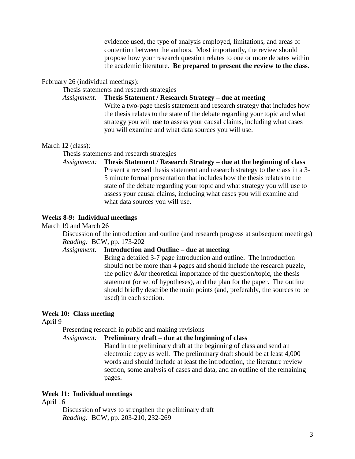evidence used, the type of analysis employed, limitations, and areas of contention between the authors. Most importantly, the review should propose how your research question relates to one or more debates within the academic literature. **Be prepared to present the review to the class.**

#### February 26 (individual meetings):

Thesis statements and research strategies

*Assignment:* **Thesis Statement / Research Strategy – due at meeting**

Write a two-page thesis statement and research strategy that includes how the thesis relates to the state of the debate regarding your topic and what strategy you will use to assess your causal claims, including what cases you will examine and what data sources you will use.

#### March 12 (class):

Thesis statements and research strategies

*Assignment:* **Thesis Statement / Research Strategy – due at the beginning of class** Present a revised thesis statement and research strategy to the class in a 3- 5 minute formal presentation that includes how the thesis relates to the state of the debate regarding your topic and what strategy you will use to assess your causal claims, including what cases you will examine and what data sources you will use.

#### **Weeks 8-9: Individual meetings**

March 19 and March 26

Discussion of the introduction and outline (and research progress at subsequent meetings) *Reading:* BCW, pp. 173-202

# *Assignment:* **Introduction and Outline – due at meeting**

Bring a detailed 3-7 page introduction and outline. The introduction should not be more than 4 pages and should include the research puzzle, the policy  $\&$ /or theoretical importance of the question/topic, the thesis statement (or set of hypotheses), and the plan for the paper. The outline should briefly describe the main points (and, preferably, the sources to be used) in each section.

#### **Week 10: Class meeting**

April 9

Presenting research in public and making revisions

*Assignment:* **Preliminary draft – due at the beginning of class**

Hand in the preliminary draft at the beginning of class and send an electronic copy as well. The preliminary draft should be at least 4,000 words and should include at least the introduction, the literature review section, some analysis of cases and data, and an outline of the remaining pages.

### **Week 11: Individual meetings**

April 16

Discussion of ways to strengthen the preliminary draft *Reading:* BCW, pp. 203-210, 232-269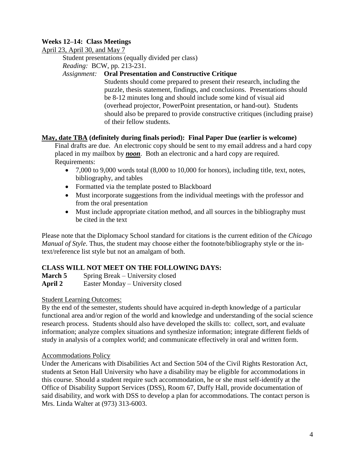# **Weeks 12–14: Class Meetings**

April 23, April 30, and May 7

Student presentations (equally divided per class)

*Reading:* BCW, pp. 213-231.

# *Assignment:* **Oral Presentation and Constructive Critique**

Students should come prepared to present their research, including the puzzle, thesis statement, findings, and conclusions. Presentations should be 8-12 minutes long and should include some kind of visual aid (overhead projector, PowerPoint presentation, or hand-out). Students should also be prepared to provide constructive critiques (including praise) of their fellow students.

# **May, date TBA (definitely during finals period): Final Paper Due (earlier is welcome)**

Final drafts are due. An electronic copy should be sent to my email address and a hard copy placed in my mailbox by *noon*. Both an electronic and a hard copy are required. Requirements:

- 7,000 to 9,000 words total (8,000 to 10,000 for honors), including title, text, notes, bibliography, and tables
- Formatted via the template posted to Blackboard
- Must incorporate suggestions from the individual meetings with the professor and from the oral presentation
- Must include appropriate citation method, and all sources in the bibliography must be cited in the text

Please note that the Diplomacy School standard for citations is the current edition of the *Chicago Manual of Style*. Thus, the student may choose either the footnote/bibliography style or the intext/reference list style but not an amalgam of both.

# **CLASS WILL NOT MEET ON THE FOLLOWING DAYS:**

**March 5** Spring Break – University closed **April 2** Easter Monday – University closed

# Student Learning Outcomes:

By the end of the semester, students should have acquired in-depth knowledge of a particular functional area and/or region of the world and knowledge and understanding of the social science research process. Students should also have developed the skills to: collect, sort, and evaluate information; analyze complex situations and synthesize information; integrate different fields of study in analysis of a complex world; and communicate effectively in oral and written form.

# Accommodations Policy

Under the Americans with Disabilities Act and Section 504 of the Civil Rights Restoration Act, students at Seton Hall University who have a disability may be eligible for accommodations in this course. Should a student require such accommodation, he or she must self-identify at the Office of Disability Support Services (DSS), Room 67, Duffy Hall, provide documentation of said disability, and work with DSS to develop a plan for accommodations. The contact person is Mrs. Linda Walter at (973) 313-6003.